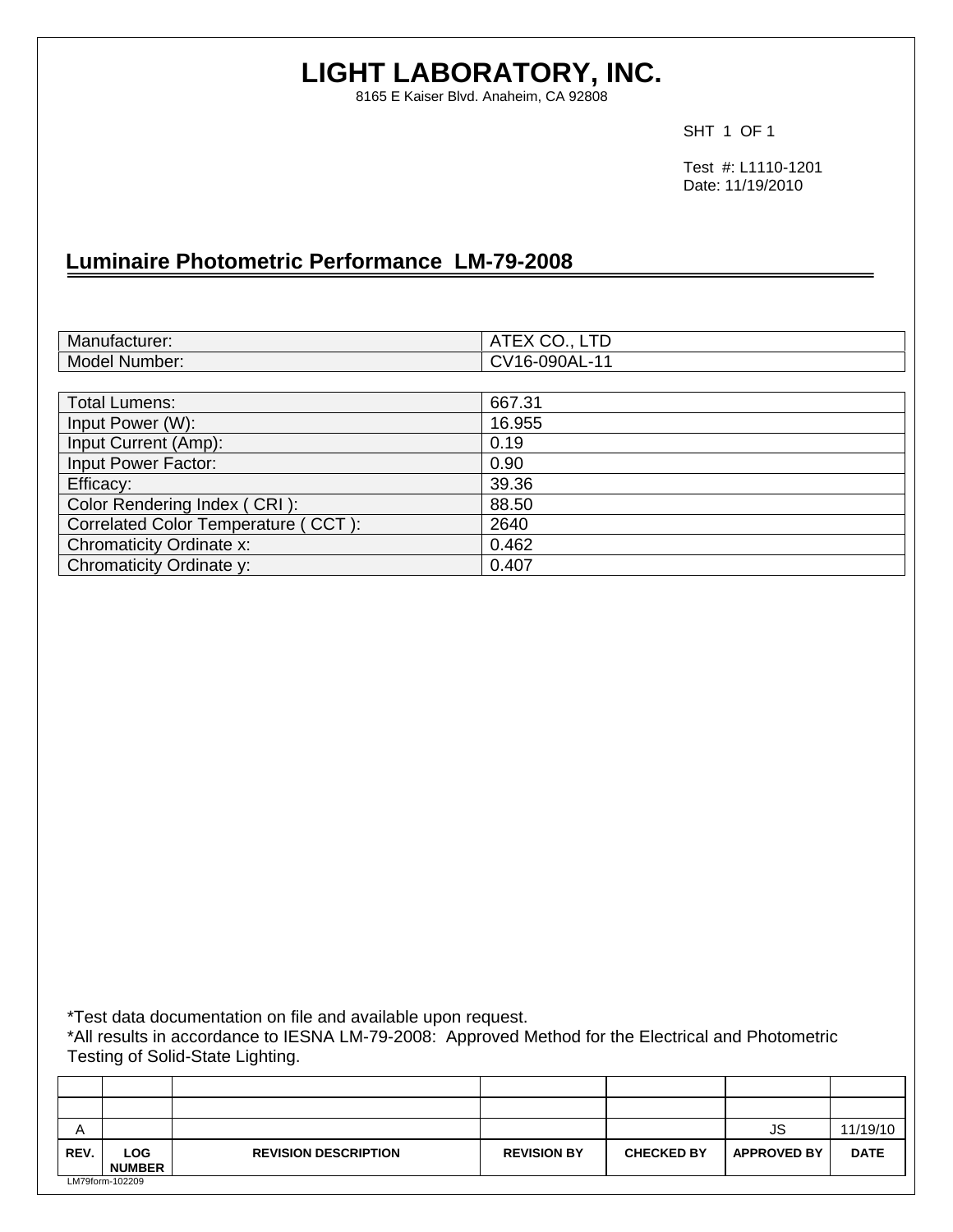# **LIGHT LABORATORY, INC.**

8165 E Kaiser Blvd. Anaheim, CA 92808

SHT 1 OF 1

 Test #: L1110-1201 Date: 11/19/2010

# **Luminaire Photometric Performance LM-79-2008**

| Manufacturer:                       | ATEX CO., LTD |
|-------------------------------------|---------------|
| Model Number:                       | CV16-090AL-11 |
|                                     |               |
| <b>Total Lumens:</b>                | 667.31        |
| Input Power (W):                    | 16.955        |
| Input Current (Amp):                | 0.19          |
| Input Power Factor:                 | 0.90          |
| Efficacy:                           | 39.36         |
| Color Rendering Index (CRI):        | 88.50         |
| Correlated Color Temperature (CCT): | 2640          |
| Chromaticity Ordinate x:            | 0.462         |
| Chromaticity Ordinate y:            | 0.407         |

\*Test data documentation on file and available upon request.

\*All results in accordance to IESNA LM-79-2008: Approved Method for the Electrical and Photometric Testing of Solid-State Lighting.

| A    |                             |                             |                    |                   | JS                 | 11/19/10    |
|------|-----------------------------|-----------------------------|--------------------|-------------------|--------------------|-------------|
| REV. | <b>LOG</b><br><b>NUMBER</b> | <b>REVISION DESCRIPTION</b> | <b>REVISION BY</b> | <b>CHECKED BY</b> | <b>APPROVED BY</b> | <b>DATE</b> |
|      | LM79form-102209             |                             |                    |                   |                    |             |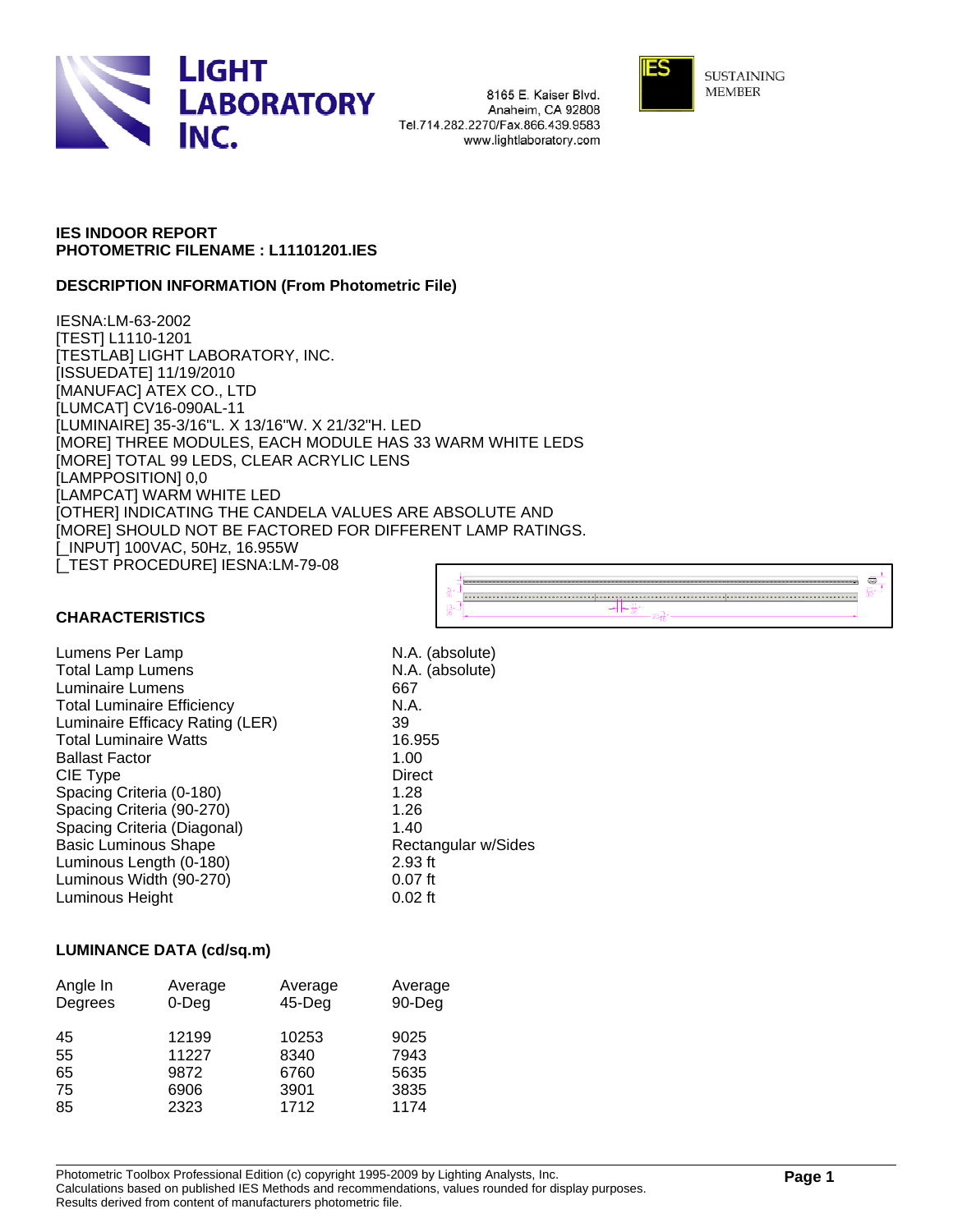

8165 E. Kaiser Blvd. Anaheim, CA 92808 Tel.714.282.2270/Fax.866.439.9583 www.lightlaboratory.com



**SUSTAINING MEMBER** 

### **IES INDOOR REPORT PHOTOMETRIC FILENAME : L11101201.IES**

### **DESCRIPTION INFORMATION (From Photometric File)**

IESNA:LM-63-2002 [TEST] L1110-1201 [TESTLAB] LIGHT LABORATORY, INC. [ISSUEDATE] 11/19/2010 [MANUFAC] ATEX CO., LTD [LUMCAT] CV16-090AL-11 [LUMINAIRE] 35-3/16"L. X 13/16"W. X 21/32"H. LED [MORE] THREE MODULES, EACH MODULE HAS 33 WARM WHITE LEDS [MORE] TOTAL 99 LEDS, CLEAR ACRYLIC LENS [LAMPPOSITION] 0,0 [LAMPCAT] WARM WHITE LED [OTHER] INDICATING THE CANDELA VALUES ARE ABSOLUTE AND [MORE] SHOULD NOT BE FACTORED FOR DIFFERENT LAMP RATINGS. [\_INPUT] 100VAC, 50Hz, 16.955W [\_TEST PROCEDURE] IESNA:LM-79-08



### **CHARACTERISTICS**

Lumens Per Lamp N.A. (absolute) Total Lamp Lumens N.A. (absolute) Luminaire Lumens 667 Total Luminaire Efficiency N.A. Luminaire Efficacy Rating (LER) 39 Total Luminaire Watts 16.955 Ballast Factor 1.00 CIE Type Direct Spacing Criteria (0-180) 1.28 Spacing Criteria (90-270) 1.26 Spacing Criteria (Diagonal) 1.40 Basic Luminous Shape Rectangular w/Sides Luminous Length (0-180) 2.93 ft Luminous Width (90-270) **120 COV 120 Example 10.07 ft**<br>
Luminous Height **DUTE** 0.02 ft Luminous Height

### **LUMINANCE DATA (cd/sq.m)**

| Angle In<br>Degrees | Average<br>$0$ -Deg | Average<br>$45$ -Deg | Average<br>90-Deg |
|---------------------|---------------------|----------------------|-------------------|
| 45                  | 12199               | 10253                | 9025              |
| 55                  | 11227               | 8340                 | 7943              |
| 65                  | 9872                | 6760                 | 5635              |
| 75                  | 6906                | 3901                 | 3835              |
| 85                  | 2323                | 1712                 | 1174              |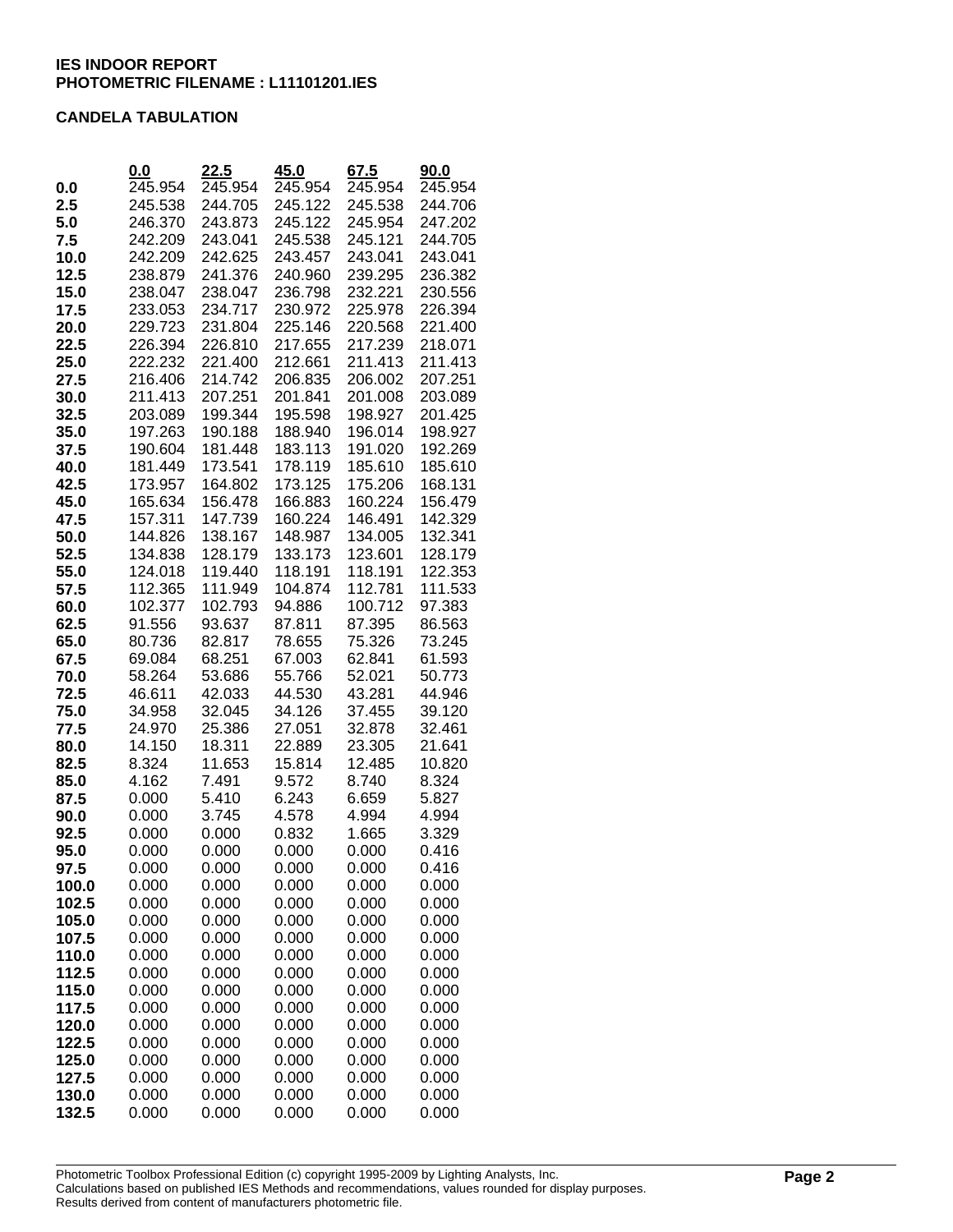### **CANDELA TABULATION**

|                | 0.0                | 22.5               | 45.0              | 67.5               | 90.0               |
|----------------|--------------------|--------------------|-------------------|--------------------|--------------------|
| 0.0            | 245.954            | 245.954            | 245.954           | 245.954            | 245.954            |
| 2.5            | 245.538            | 244.705            | 245.122           | 245.538            | 244.706            |
| 5.0            | 246.370            | 243.873            | 245.122           | 245.954            | 247.202            |
| 7.5            | 242.209            | 243.041            | 245.538           | 245.121            | 244.705            |
| 10.0           | 242.209            | 242.625            | 243.457           | 243.041            | 243.041            |
| 12.5           | 238.879            | 241.376            | 240.960           | 239.295            | 236.382            |
| 15.0           | 238.047            | 238.047            | 236.798           | 232.221            | 230.556            |
| 17.5           | 233.053            | 234.717            | 230.972           | 225.978            | 226.394            |
| 20.0           | 229.723            | 231.804            | 225.146           | 220.568            | 221.400            |
| 22.5           | 226.394            | 226.810            | 217.655           | 217.239            | 218.071            |
| 25.0           | 222.232            | 221.400            | 212.661           | 211.413            | 211.413            |
| 27.5           | 216.406            | 214.742            | 206.835           | 206.002            | 207.251            |
| 30.0           | 211.413            | 207.251            | 201.841           | 201.008            | 203.089            |
| 32.5           | 203.089            | 199.344            | 195.598           | 198.927            | 201.425            |
| 35.0           | 197.263            | 190.188            | 188.940           | 196.014            | 198.927            |
| 37.5           | 190.604            | 181.448            | 183.113           | 191.020            | 192.269            |
| 40.0           | 181.449            | 173.541            | 178.119           | 185.610            | 185.610            |
| 42.5           | 173.957            | 164.802            | 173.125           | 175.206            | 168.131            |
| 45.0           | 165.634            | 156.478            | 166.883           | 160.224            | 156.479            |
| 47.5           | 157.311            | 147.739            | 160.224           | 146.491            | 142.329            |
| 50.0           | 144.826            | 138.167            | 148.987           | 134.005            | 132.341            |
| 52.5           | 134.838            | 128.179            | 133.173           | 123.601            | 128.179            |
| 55.0           | 124.018<br>112.365 | 119.440<br>111.949 | 118.191           | 118.191<br>112.781 | 122.353<br>111.533 |
| 57.5           | 102.377            | 102.793            | 104.874<br>94.886 | 100.712            | 97.383             |
| 60.0<br>62.5   | 91.556             | 93.637             | 87.811            | 87.395             | 86.563             |
| 65.0           | 80.736             | 82.817             | 78.655            | 75.326             | 73.245             |
| 67.5           | 69.084             | 68.251             | 67.003            | 62.841             | 61.593             |
| 70.0           | 58.264             | 53.686             | 55.766            | 52.021             | 50.773             |
| 72.5           | 46.611             | 42.033             | 44.530            | 43.281             | 44.946             |
| 75.0           | 34.958             | 32.045             | 34.126            | 37.455             | 39.120             |
| 77.5           | 24.970             | 25.386             | 27.051            | 32.878             | 32.461             |
| 80.0           | 14.150             | 18.311             | 22.889            | 23.305             | 21.641             |
| 82.5           | 8.324              | 11.653             | 15.814            | 12.485             | 10.820             |
| 85.0           | 4.162              | 7.491              | 9.572             | 8.740              | 8.324              |
| 87.5           | 0.000              | 5.410              | 6.243             | 6.659              | 5.827              |
| 90.0           | 0.000              | 3.745              | 4.578             | 4.994              | 4.994              |
| 92.5           | 0.000              | 0.000              | 0.832             | 1.665              | 3.329              |
| 95.0           | 0.000              | 0.000              | 0.000             | 0.000              | 0.416              |
| 97.5           | 0.000              | 0.000              | 0.000             | 0.000              | 0.416              |
| 100.0          | 0.000              | 0.000              | 0.000             | 0.000              | 0.000              |
| 102.5          | 0.000              | 0.000              | 0.000             | 0.000              | 0.000              |
| 105.0          | 0.000              | 0.000              | 0.000             | 0.000              | 0.000              |
| 107.5          | 0.000              | 0.000              | 0.000             | 0.000              | 0.000              |
| 110.0          | 0.000              | 0.000              | 0.000             | 0.000              | 0.000              |
| 112.5          | 0.000              | 0.000              | 0.000             | 0.000              | 0.000              |
| 115.0          | 0.000              | 0.000              | 0.000             | 0.000              | 0.000              |
| 117.5          | 0.000              | 0.000              | 0.000             | 0.000              | 0.000              |
| 120.0          | 0.000<br>0.000     | 0.000<br>0.000     | 0.000<br>0.000    | 0.000              | 0.000              |
| 122.5<br>125.0 | 0.000              | 0.000              | 0.000             | 0.000<br>0.000     | 0.000<br>0.000     |
| 127.5          | 0.000              | 0.000              | 0.000             | 0.000              | 0.000              |
| 130.0          | 0.000              | 0.000              | 0.000             | 0.000              | 0.000              |
| 132.5          | 0.000              | 0.000              | 0.000             | 0.000              | 0.000              |
|                |                    |                    |                   |                    |                    |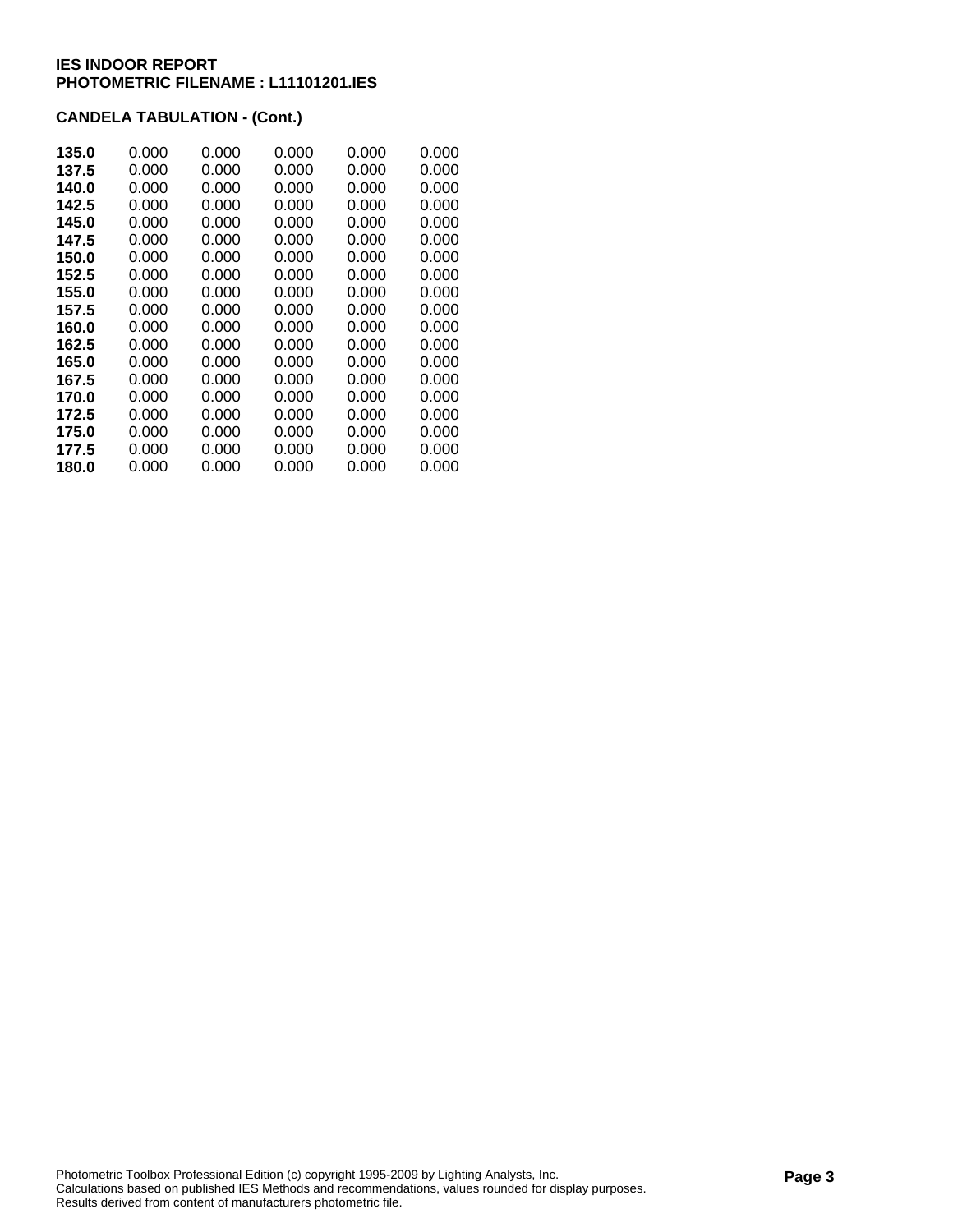## **CANDELA TABULATION - (Cont.)**

| 135.0 | 0.000 | 0.000 | 0.000 | 0.000 | 0.000 |
|-------|-------|-------|-------|-------|-------|
| 137.5 | 0.000 | 0.000 | 0.000 | 0.000 | 0.000 |
| 140.0 | 0.000 | 0.000 | 0.000 | 0.000 | 0.000 |
| 142.5 | 0.000 | 0.000 | 0.000 | 0.000 | 0.000 |
| 145.0 | 0.000 | 0.000 | 0.000 | 0.000 | 0.000 |
| 147.5 | 0.000 | 0.000 | 0.000 | 0.000 | 0.000 |
| 150.0 | 0.000 | 0.000 | 0.000 | 0.000 | 0.000 |
| 152.5 | 0.000 | 0.000 | 0.000 | 0.000 | 0.000 |
| 155.0 | 0.000 | 0.000 | 0.000 | 0.000 | 0.000 |
| 157.5 | 0.000 | 0.000 | 0.000 | 0.000 | 0.000 |
| 160.0 | 0.000 | 0.000 | 0.000 | 0.000 | 0.000 |
| 162.5 | 0.000 | 0.000 | 0.000 | 0.000 | 0.000 |
| 165.0 | 0.000 | 0.000 | 0.000 | 0.000 | 0.000 |
| 167.5 | 0.000 | 0.000 | 0.000 | 0.000 | 0.000 |
| 170.0 | 0.000 | 0.000 | 0.000 | 0.000 | 0.000 |
| 172.5 | 0.000 | 0.000 | 0.000 | 0.000 | 0.000 |
| 175.0 | 0.000 | 0.000 | 0.000 | 0.000 | 0.000 |
| 177.5 | 0.000 | 0.000 | 0.000 | 0.000 | 0.000 |
| 180.0 | 0.000 | 0.000 | 0.000 | 0.000 | 0.000 |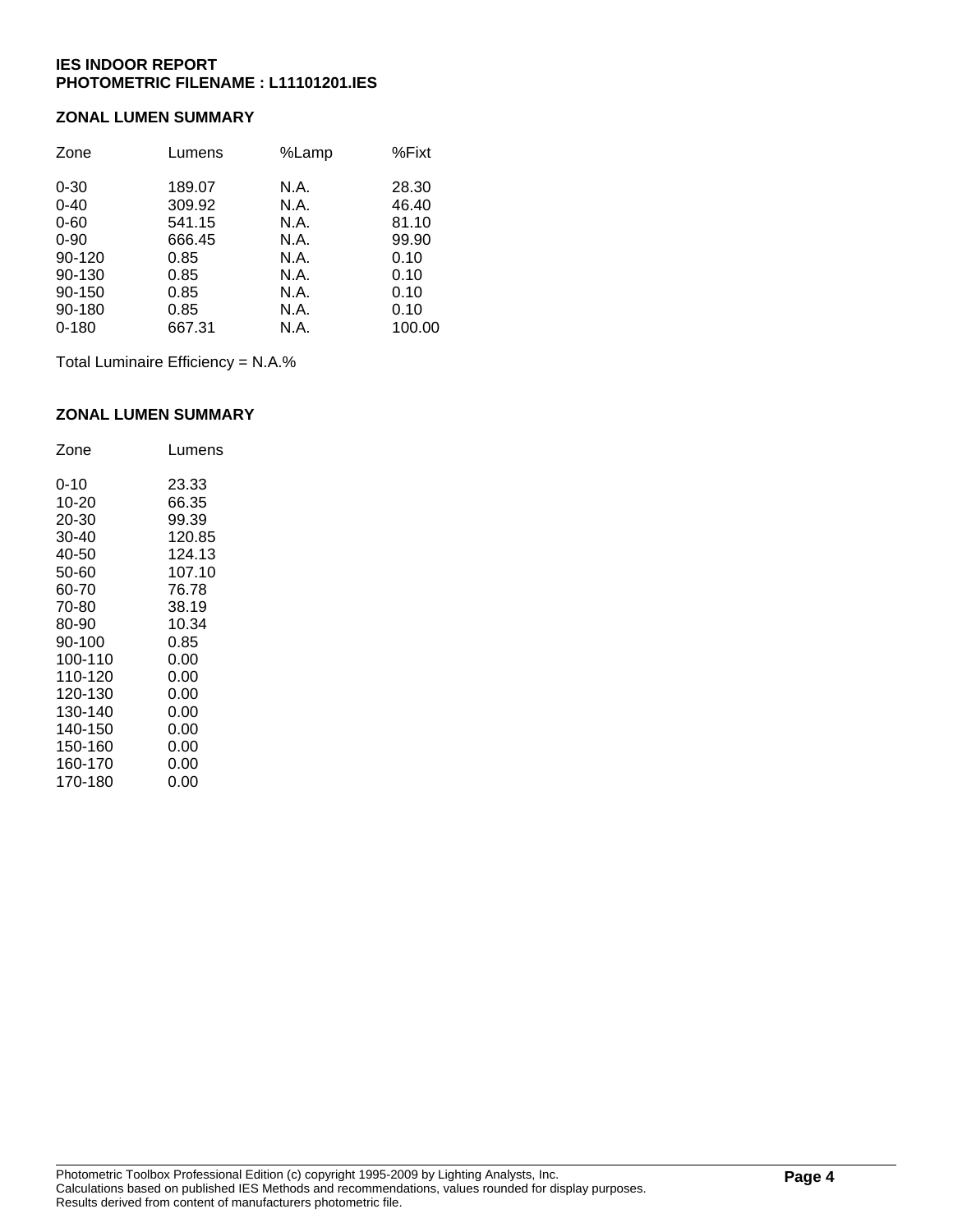### **ZONAL LUMEN SUMMARY**

| Zone      | Lumens | %Lamp | %Fixt  |
|-----------|--------|-------|--------|
| $0 - 30$  | 189.07 | N.A.  | 28.30  |
| $0 - 40$  | 309.92 | N.A.  | 46.40  |
| $0 - 60$  | 541.15 | N.A.  | 81.10  |
| $0 - 90$  | 666.45 | N.A.  | 99.90  |
| 90-120    | 0.85   | N.A.  | 0.10   |
| 90-130    | 0.85   | N.A.  | 0.10   |
| 90-150    | 0.85   | N.A.  | 0.10   |
| 90-180    | 0.85   | N.A.  | 0.10   |
| $0 - 180$ | 667.31 | N.A.  | 100.00 |

Total Luminaire Efficiency = N.A.%

### **ZONAL LUMEN SUMMARY**

| Zone    | Lumens |
|---------|--------|
| 0-10    | 23.33  |
| 10-20   | 66.35  |
| 20-30   | 99.39  |
| 30-40   | 120.85 |
| 40-50   | 124.13 |
| 50-60   | 107.10 |
| 60-70   | 76.78  |
| 70-80   | 38.19  |
| 80-90   | 10.34  |
| 90-100  | 0.85   |
| 100-110 | 0.00   |
| 110-120 | 0.00   |
| 120-130 | 0.00   |
| 130-140 | 0.00   |
| 140-150 | 0.00   |
| 150-160 | 0.00   |
| 160-170 | 0.00   |
| 170-180 | 0.00   |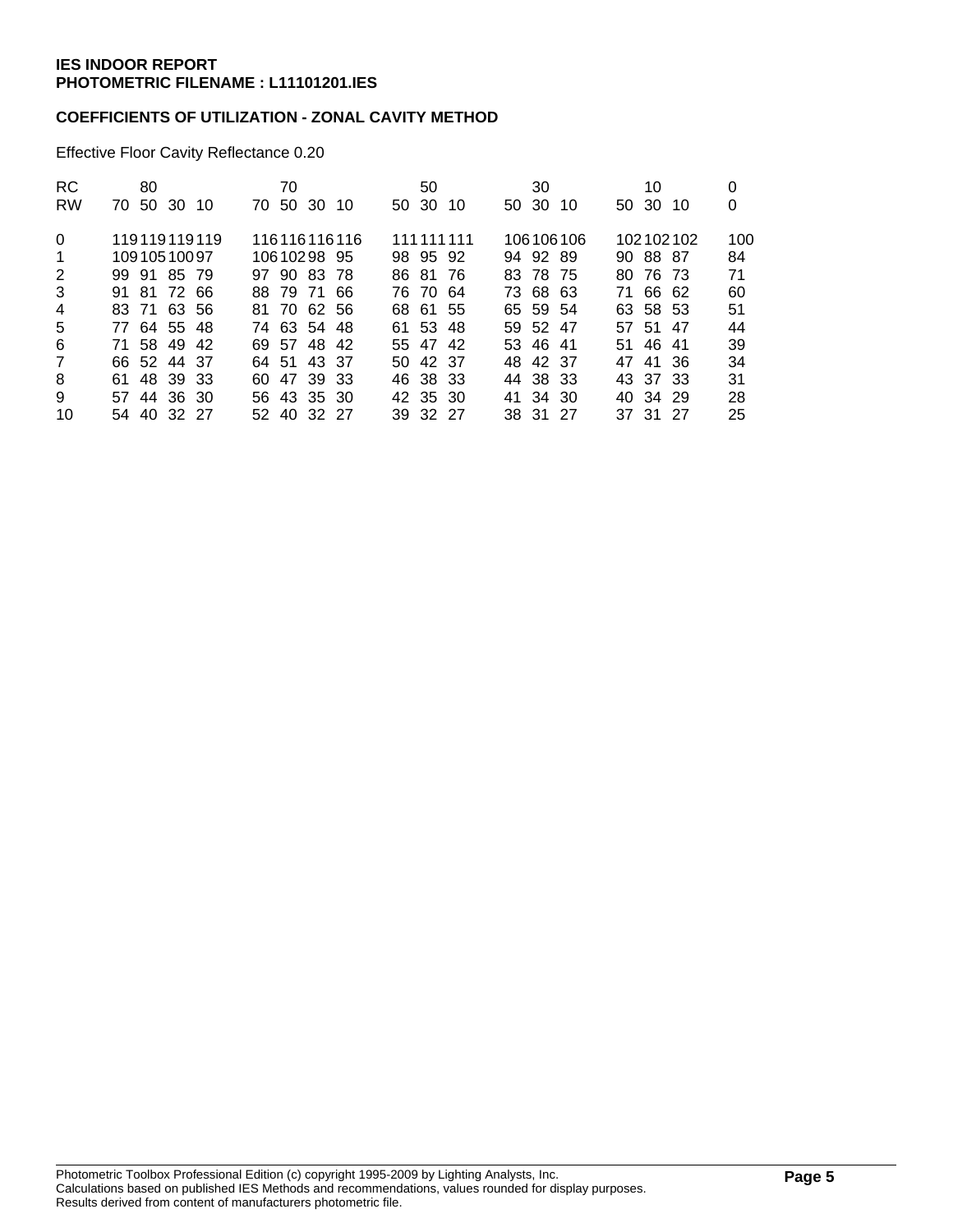### **COEFFICIENTS OF UTILIZATION - ZONAL CAVITY METHOD**

Effective Floor Cavity Reflectance 0.20

| <b>RC</b><br><b>RW</b> | 80<br>70 50 30 10 | 70<br>70 50 30 10 | 50<br>50 30 10 | 30<br>50 30 10 | 10<br>50 30 10 | 0<br>0 |
|------------------------|-------------------|-------------------|----------------|----------------|----------------|--------|
|                        |                   |                   |                |                |                |        |
| $\mathbf{0}$           | 119119119119      | 116116116116      | 111 111 111    | 106106106      | 102102102      | 100    |
| $\mathbf 1$            | 10910510097       | 10610298 95       | 98 95 92       | 94 92 89       | 90 88 87       | 84     |
| 2                      | 99 91 85 79       | 97 90 83 78       | 86 81 76       | 83 78 75       | 80 76 73       | 71     |
| 3                      | 91 81 72 66       | 88 79 71 66       | 76 70 64       | 73 68 63       | 71 66 62       | 60     |
| $\overline{4}$         | 83 71 63 56       | 81 70 62 56       | 68 61 55       | 65 59 54       | 63 58 53       | 51     |
| 5                      | 77 64 55 48       | 74 63 54 48       | 61 53 48       | 59 52 47       | 57 51 47       | 44     |
| 6                      | 71 58 49 42       | 69 57 48 42       | 55 47 42       | 53 46 41       | 51 46 41       | 39     |
| $\overline{7}$         | 66 52 44 37       | 64 51 43 37       | 50 42 37       | 48 42 37       | 47 41 36       | 34     |
| 8                      | 61 48 39 33       | 60 47 39 33       | 46 38 33       | 44 38 33       | 43 37 33       | 31     |
| 9                      | 57 44 36 30       | 56 43 35 30       | 42 35 30       | 41 34 30       | 40 34 29       | 28     |
| 10                     | 54 40 32 27       | 52 40 32 27       | 39 32 27       | 38 31 27       | 37 31 27       | 25     |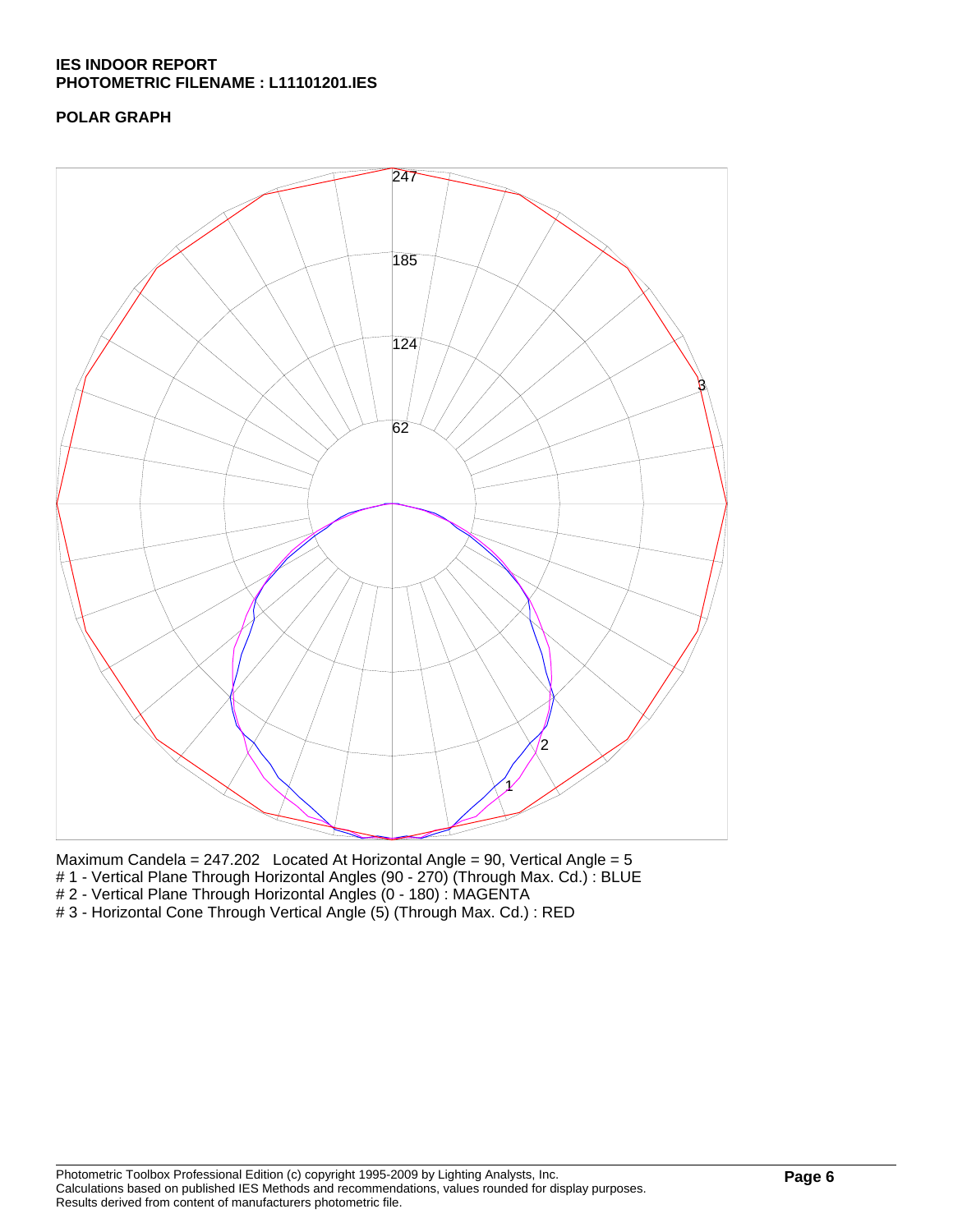## **POLAR GRAPH**



Maximum Candela = 247.202 Located At Horizontal Angle = 90, Vertical Angle = 5

- # 1 Vertical Plane Through Horizontal Angles (90 270) (Through Max. Cd.): BLUE
- # 2 Vertical Plane Through Horizontal Angles (0 180) : MAGENTA

# 3 - Horizontal Cone Through Vertical Angle (5) (Through Max. Cd.) : RED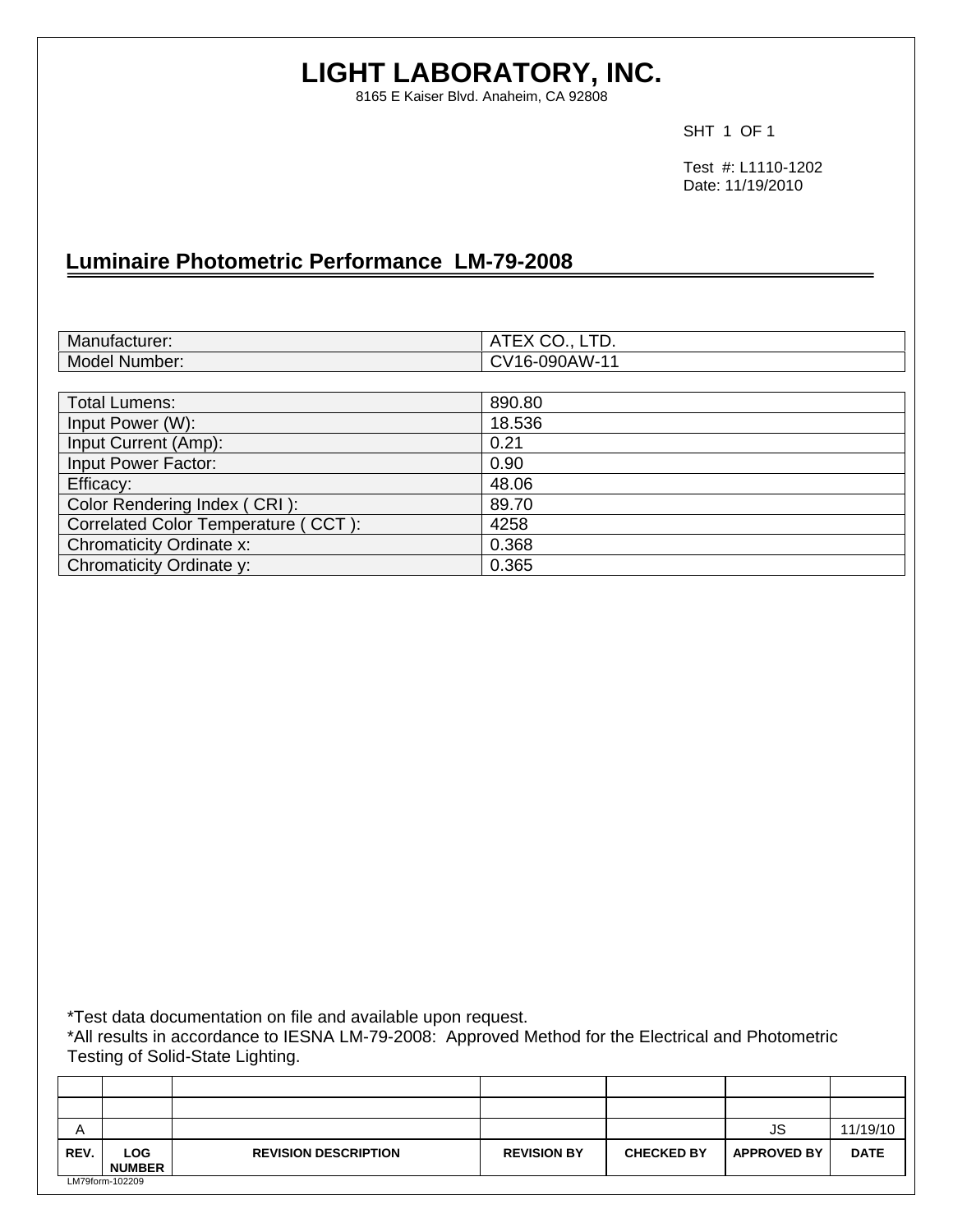# **LIGHT LABORATORY, INC.**

8165 E Kaiser Blvd. Anaheim, CA 92808

SHT 1 OF 1

 Test #: L1110-1202 Date: 11/19/2010

# **Luminaire Photometric Performance LM-79-2008**

| Manufacturer:                       | ATEX CO., LTD. |
|-------------------------------------|----------------|
| Model Number:                       | CV16-090AW-11  |
|                                     |                |
| <b>Total Lumens:</b>                | 890.80         |
| Input Power (W):                    | 18.536         |
| Input Current (Amp):                | 0.21           |
| Input Power Factor:                 | 0.90           |
| Efficacy:                           | 48.06          |
| Color Rendering Index (CRI):        | 89.70          |
| Correlated Color Temperature (CCT): | 4258           |
| Chromaticity Ordinate x:            | 0.368          |
| Chromaticity Ordinate y:            | 0.365          |

\*Test data documentation on file and available upon request.

\*All results in accordance to IESNA LM-79-2008: Approved Method for the Electrical and Photometric Testing of Solid-State Lighting.

| A    |                             |                             |                    |                   | JS                 | 11/19/10    |
|------|-----------------------------|-----------------------------|--------------------|-------------------|--------------------|-------------|
| REV. | <b>LOG</b><br><b>NUMBER</b> | <b>REVISION DESCRIPTION</b> | <b>REVISION BY</b> | <b>CHECKED BY</b> | <b>APPROVED BY</b> | <b>DATE</b> |
|      | LM79form-102209             |                             |                    |                   |                    |             |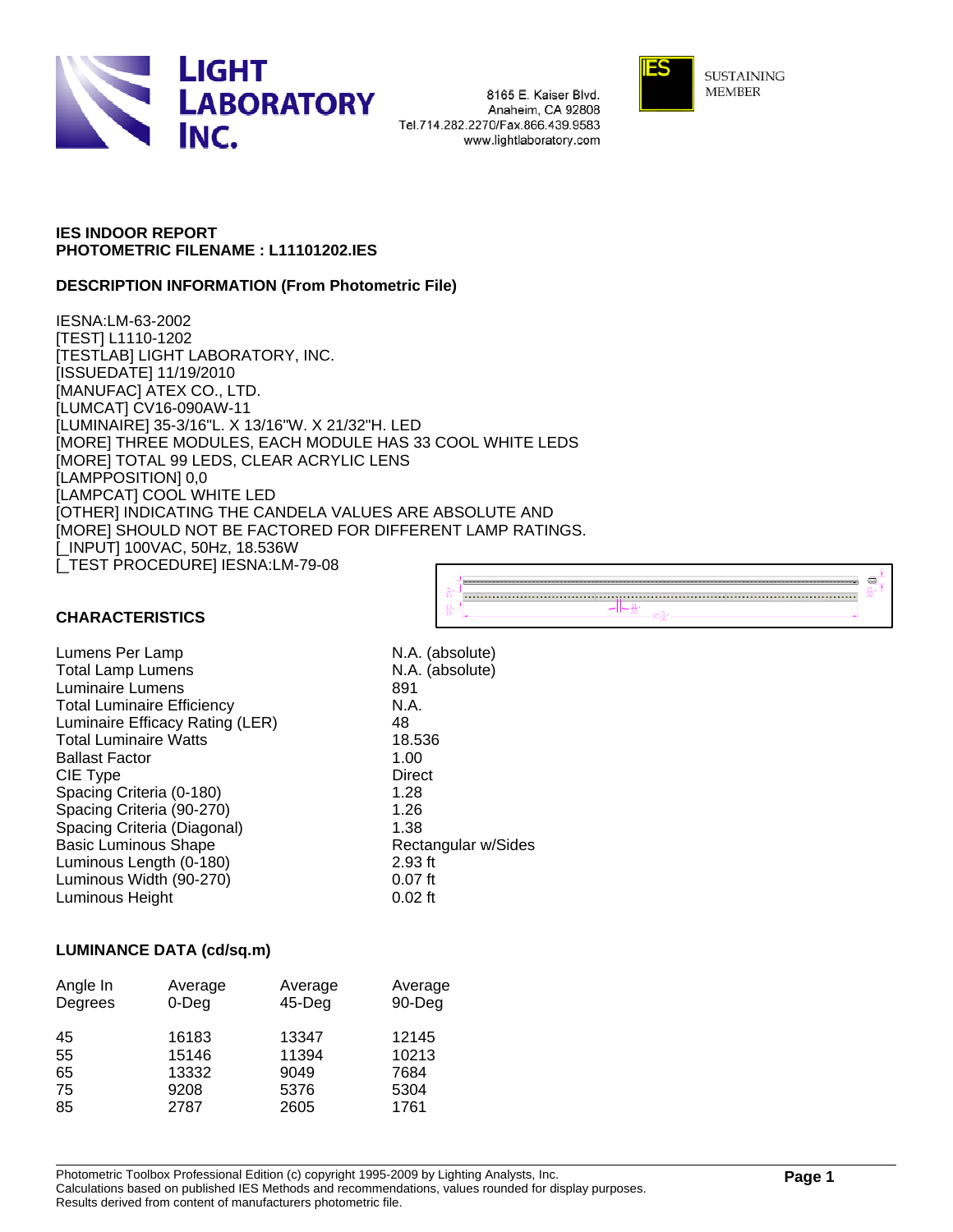

8165 E. Kaiser Blvd. Anaheim, CA 92808 Tel.714.282.2270/Fax.866.439.9583 www.lightlaboratory.com



**SUSTAINING MEMBER** 

### **IES INDOOR REPORT PHOTOMETRIC FILENAME : L11101202.IES**

### **DESCRIPTION INFORMATION (From Photometric File)**

IESNA:LM-63-2002 [TEST] L1110-1202 [TESTLAB] LIGHT LABORATORY, INC. [ISSUEDATE] 11/19/2010 [MANUFAC] ATEX CO., LTD. [LUMCAT] CV16-090AW-11 [LUMINAIRE] 35-3/16"L. X 13/16"W. X 21/32"H. LED [MORE] THREE MODULES, EACH MODULE HAS 33 COOL WHITE LEDS [MORE] TOTAL 99 LEDS, CLEAR ACRYLIC LENS [LAMPPOSITION] 0,0 [LAMPCAT] COOL WHITE LED [OTHER] INDICATING THE CANDELA VALUES ARE ABSOLUTE AND [MORE] SHOULD NOT BE FACTORED FOR DIFFERENT LAMP RATINGS. [\_INPUT] 100VAC, 50Hz, 18.536W [\_TEST PROCEDURE] IESNA:LM-79-08



### **CHARACTERISTICS**

Lumens Per Lamp N.A. (absolute) Total Lamp Lumens N.A. (absolute) Luminaire Lumens 891 Total Luminaire Efficiency **N.A.** Luminaire Efficacy Rating (LER) 48 Total Luminaire Watts 18.536 Ballast Factor 1.00 CIE Type Direct Spacing Criteria (0-180) 1.28 Spacing Criteria (90-270) 1.26 Spacing Criteria (Diagonal) 1.38 Basic Luminous Shape Rectangular w/Sides Luminous Length (0-180) 2.93 ft Luminous Width (90-270) **120 COV 120 Example 10.07 ft**<br>
Luminous Height **DUTE** 0.02 ft Luminous Height

### **LUMINANCE DATA (cd/sq.m)**

| Angle In<br>Degrees | Average<br>$0$ -Deg | Average<br>$45$ -Deg | Average<br>90-Deg |
|---------------------|---------------------|----------------------|-------------------|
| 45                  | 16183               | 13347                | 12145             |
| 55                  | 15146               | 11394                | 10213             |
| 65                  | 13332               | 9049                 | 7684              |
| 75                  | 9208                | 5376                 | 5304              |
| 85                  | 2787                | 2605                 | 1761              |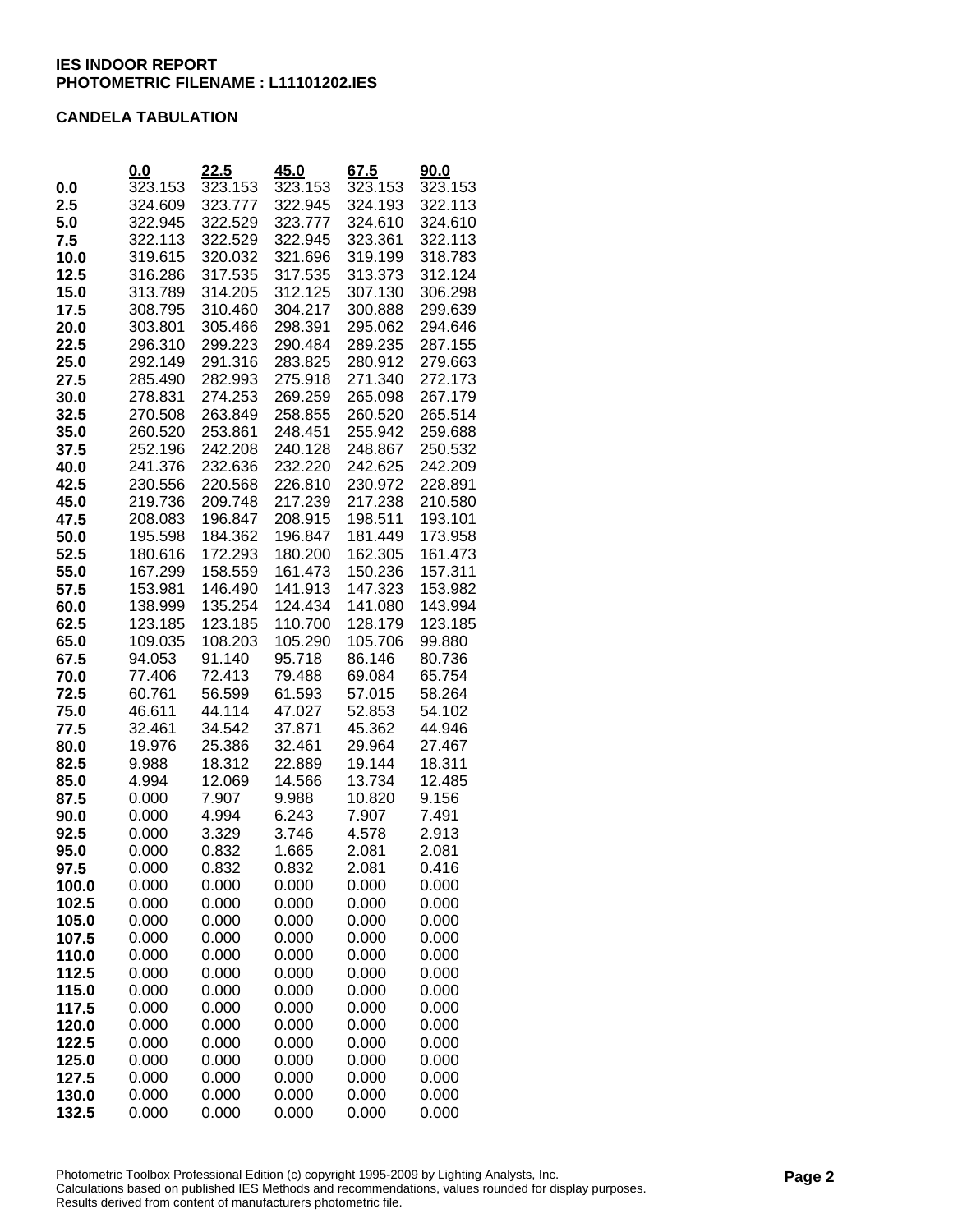### **CANDELA TABULATION**

|              | 0.0              | <u>22.5</u>      | 45.0             | 67.5             | <u>90.0</u>      |
|--------------|------------------|------------------|------------------|------------------|------------------|
| 0.0          | 323.153          | 323.153          | 323.153          | 323.153          | 323.153          |
| 2.5          | 324.609          | 323.777          | 322.945          | 324.193          | 322.113          |
| 5.0          | 322.945          | 322.529          | 323.777          | 324.610          | 324.610          |
| 7.5          | 322.113          | 322.529          | 322.945          | 323.361          | 322.113          |
| 10.0         | 319.615          | 320.032          | 321.696          | 319.199          | 318.783          |
| 12.5         | 316.286          | 317.535          | 317.535          | 313.373          | 312.124          |
| 15.0         | 313.789          | 314.205          | 312.125          | 307.130          | 306.298          |
| 17.5         | 308.795          | 310.460          | 304.217          | 300.888          | 299.639          |
| 20.0         | 303.801          | 305.466          | 298.391          | 295.062          | 294.646          |
| 22.5         | 296.310          | 299.223          | 290.484          | 289.235          | 287.155          |
| 25.0         | 292.149          | 291.316          | 283.825          | 280.912          | 279.663          |
| 27.5         | 285.490          | 282.993          | 275.918          | 271.340          | 272.173          |
| 30.0         | 278.831          | 274.253          | 269.259          | 265.098          | 267.179          |
| 32.5         | 270.508          | 263.849          | 258.855          | 260.520          | 265.514          |
| 35.0         | 260.520          | 253.861          | 248.451          | 255.942          | 259.688          |
| 37.5         | 252.196          | 242.208          | 240.128          | 248.867          | 250.532          |
| 40.0         | 241.376          | 232.636          | 232.220          | 242.625          | 242.209          |
| 42.5         | 230.556          | 220.568          | 226.810          | 230.972          | 228.891          |
| 45.0         | 219.736          | 209.748          | 217.239          | 217.238          | 210.580          |
| 47.5         | 208.083          | 196.847          | 208.915          | 198.511          | 193.101          |
| 50.0         | 195.598          | 184.362          | 196.847          | 181.449          | 173.958          |
| 52.5         | 180.616          | 172.293          | 180.200          | 162.305          | 161.473          |
| 55.0         | 167.299          | 158.559          | 161.473          | 150.236          | 157.311          |
| 57.5         | 153.981          | 146.490          | 141.913          | 147.323          | 153.982          |
| 60.0         | 138.999          | 135.254          | 124.434          | 141.080          | 143.994          |
| 62.5         | 123.185          | 123.185          | 110.700          | 128.179          | 123.185          |
| 65.0         | 109.035          | 108.203          | 105.290          | 105.706          | 99.880           |
| 67.5         | 94.053           | 91.140           | 95.718           | 86.146           | 80.736           |
| 70.0         | 77.406           | 72.413           | 79.488           | 69.084           | 65.754           |
| 72.5         | 60.761           | 56.599           | 61.593           | 57.015           | 58.264           |
| 75.0         | 46.611           | 44.114           | 47.027           | 52.853           | 54.102           |
| 77.5         | 32.461<br>19.976 | 34.542<br>25.386 | 37.871<br>32.461 | 45.362<br>29.964 | 44.946<br>27.467 |
| 80.0         | 9.988            | 18.312           |                  | 19.144           | 18.311           |
| 82.5<br>85.0 | 4.994            | 12.069           | 22.889<br>14.566 | 13.734           | 12.485           |
| 87.5         | 0.000            | 7.907            | 9.988            | 10.820           | 9.156            |
| 90.0         | 0.000            | 4.994            | 6.243            | 7.907            | 7.491            |
| 92.5         | 0.000            | 3.329            | 3.746            | 4.578            | 2.913            |
| 95.0         | 0.000            | 0.832            | 1.665            | 2.081            | 2.081            |
| 97.5         | 0.000            | 0.832            | 0.832            | 2.081            | 0.416            |
| 100.0        | 0.000            | 0.000            | 0.000            | 0.000            | 0.000            |
| 102.5        | 0.000            | 0.000            | 0.000            | 0.000            | 0.000            |
| 105.0        | 0.000            | 0.000            | 0.000            | 0.000            | 0.000            |
| 107.5        | 0.000            | 0.000            | 0.000            | 0.000            | 0.000            |
| 110.0        | 0.000            | 0.000            | 0.000            | 0.000            | 0.000            |
| 112.5        | 0.000            | 0.000            | 0.000            | 0.000            | 0.000            |
| 115.0        | 0.000            | 0.000            | 0.000            | 0.000            | 0.000            |
| 117.5        | 0.000            | 0.000            | 0.000            | 0.000            | 0.000            |
| 120.0        | 0.000            | 0.000            | 0.000            | 0.000            | 0.000            |
| 122.5        | 0.000            | 0.000            | 0.000            | 0.000            | 0.000            |
| 125.0        | 0.000            | 0.000            | 0.000            | 0.000            | 0.000            |
| 127.5        | 0.000            | 0.000            | 0.000            | 0.000            | 0.000            |
| 130.0        | 0.000            | 0.000            | 0.000            | 0.000            | 0.000            |
| 132.5        | 0.000            | 0.000            | 0.000            | 0.000            | 0.000            |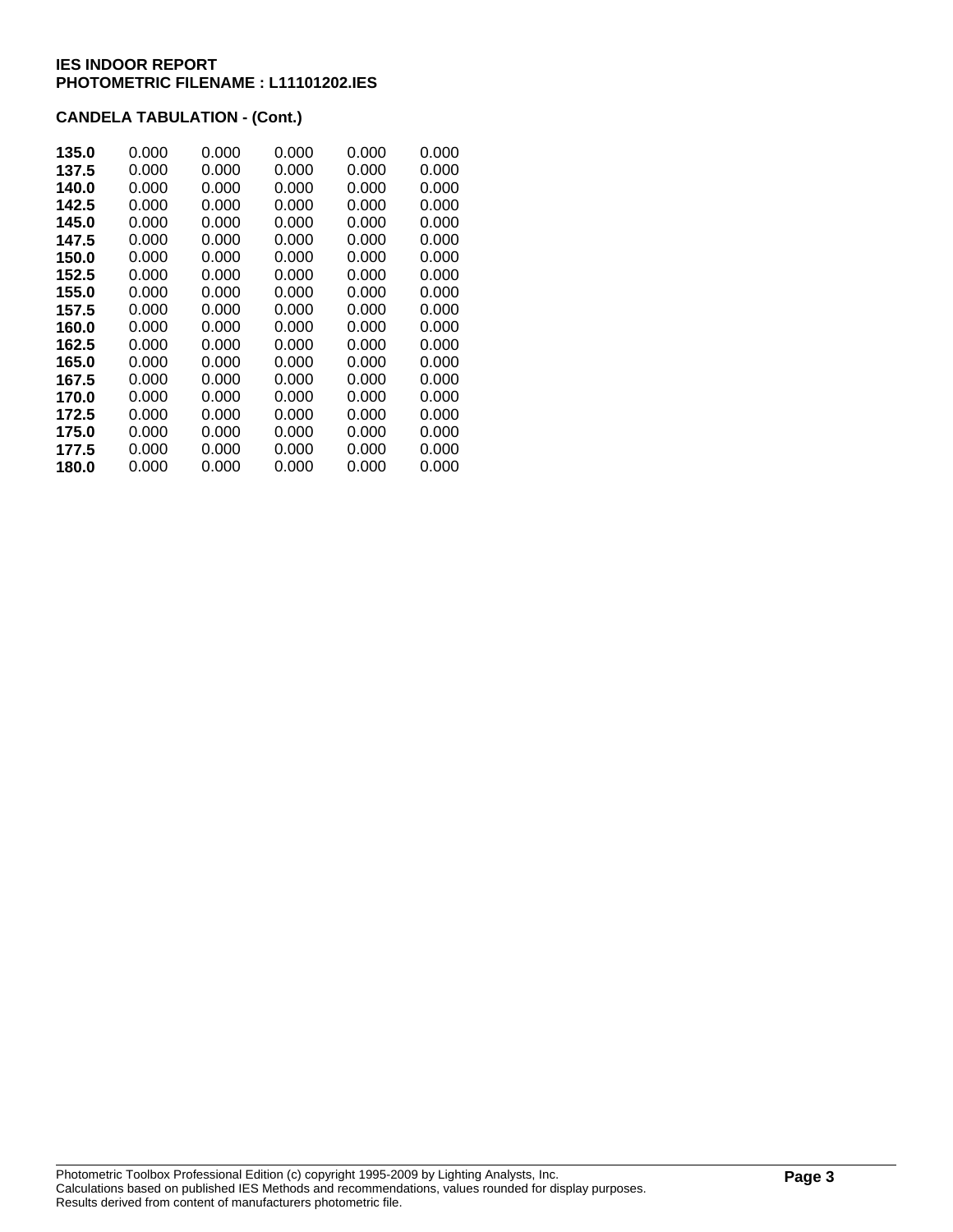## **CANDELA TABULATION - (Cont.)**

| 135.0 | 0.000 | 0.000 | 0.000 | 0.000 | 0.000 |
|-------|-------|-------|-------|-------|-------|
| 137.5 | 0.000 | 0.000 | 0.000 | 0.000 | 0.000 |
| 140.0 | 0.000 | 0.000 | 0.000 | 0.000 | 0.000 |
| 142.5 | 0.000 | 0.000 | 0.000 | 0.000 | 0.000 |
| 145.0 | 0.000 | 0.000 | 0.000 | 0.000 | 0.000 |
| 147.5 | 0.000 | 0.000 | 0.000 | 0.000 | 0.000 |
| 150.0 | 0.000 | 0.000 | 0.000 | 0.000 | 0.000 |
| 152.5 | 0.000 | 0.000 | 0.000 | 0.000 | 0.000 |
| 155.0 | 0.000 | 0.000 | 0.000 | 0.000 | 0.000 |
| 157.5 | 0.000 | 0.000 | 0.000 | 0.000 | 0.000 |
| 160.0 | 0.000 | 0.000 | 0.000 | 0.000 | 0.000 |
| 162.5 | 0.000 | 0.000 | 0.000 | 0.000 | 0.000 |
| 165.0 | 0.000 | 0.000 | 0.000 | 0.000 | 0.000 |
| 167.5 | 0.000 | 0.000 | 0.000 | 0.000 | 0.000 |
| 170.0 | 0.000 | 0.000 | 0.000 | 0.000 | 0.000 |
| 172.5 | 0.000 | 0.000 | 0.000 | 0.000 | 0.000 |
| 175.0 | 0.000 | 0.000 | 0.000 | 0.000 | 0.000 |
| 177.5 | 0.000 | 0.000 | 0.000 | 0.000 | 0.000 |
| 180.0 | 0.000 | 0.000 | 0.000 | 0.000 | 0.000 |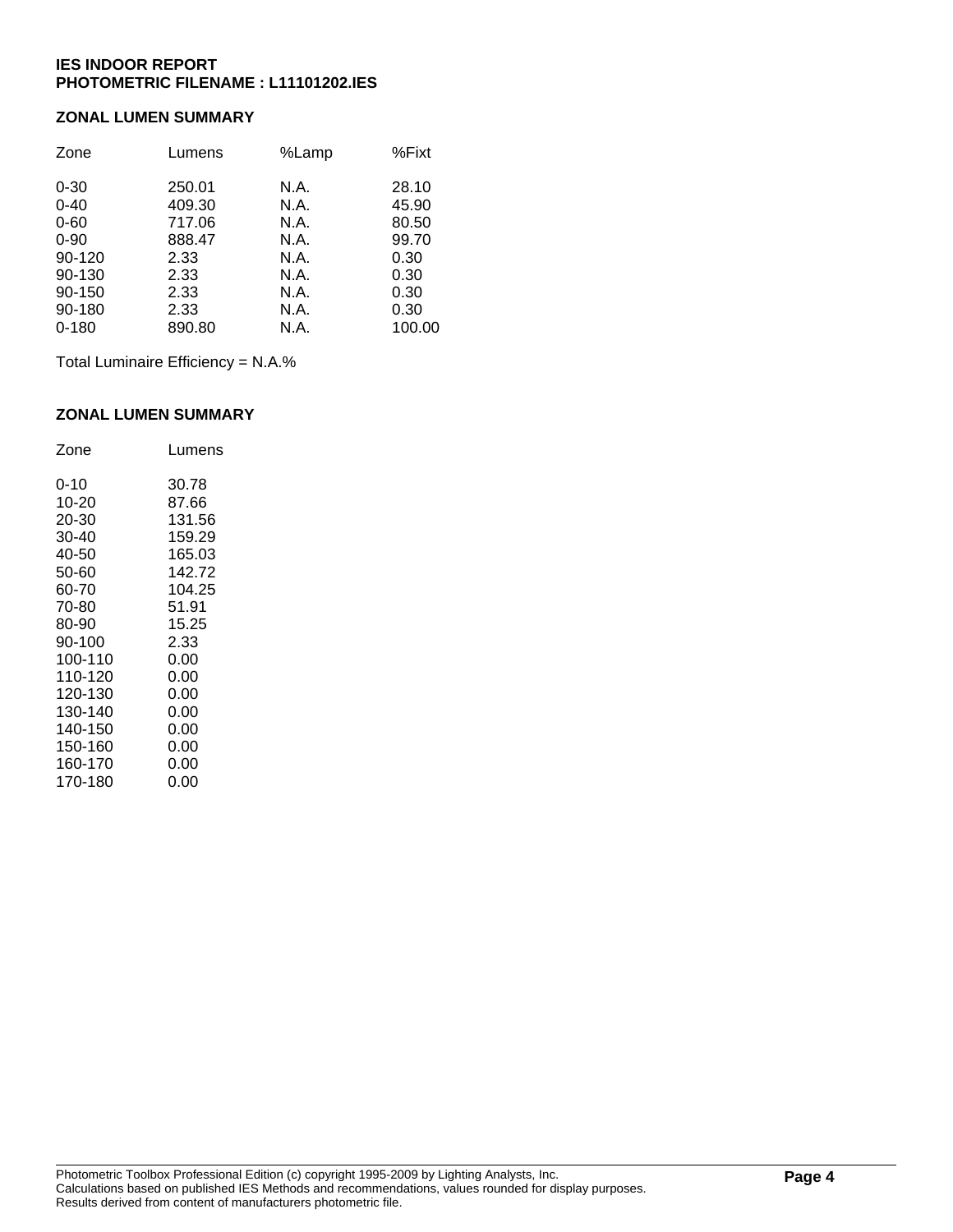### **ZONAL LUMEN SUMMARY**

| Zone      | Lumens | %Lamp | %Fixt  |
|-----------|--------|-------|--------|
| $0 - 30$  | 250.01 | N.A.  | 28.10  |
| $0 - 40$  | 409.30 | N.A.  | 45.90  |
| $0 - 60$  | 717.06 | N.A.  | 80.50  |
| $0 - 90$  | 888.47 | N.A.  | 99.70  |
| 90-120    | 2.33   | N.A.  | 0.30   |
| 90-130    | 2.33   | N.A.  | 0.30   |
| 90-150    | 2.33   | N.A.  | 0.30   |
| 90-180    | 2.33   | N.A.  | 0.30   |
| $0 - 180$ | 890.80 | N.A.  | 100.00 |

Total Luminaire Efficiency = N.A.%

### **ZONAL LUMEN SUMMARY**

| Zone    | Lumens |
|---------|--------|
| 0-10    | 30.78  |
| 10-20   | 87.66  |
| 20-30   | 131.56 |
| 30-40   | 159.29 |
| 40-50   | 165.03 |
| 50-60   | 142.72 |
| 60-70   | 104.25 |
| 70-80   | 51.91  |
| 80-90   | 15.25  |
| 90-100  | 2.33   |
| 100-110 | 0.00   |
| 110-120 | 0.00   |
| 120-130 | 0.00   |
| 130-140 | 0.00   |
| 140-150 | 0.00   |
| 150-160 | 0.00   |
| 160-170 | 0.00   |
| 170-180 | 0.00   |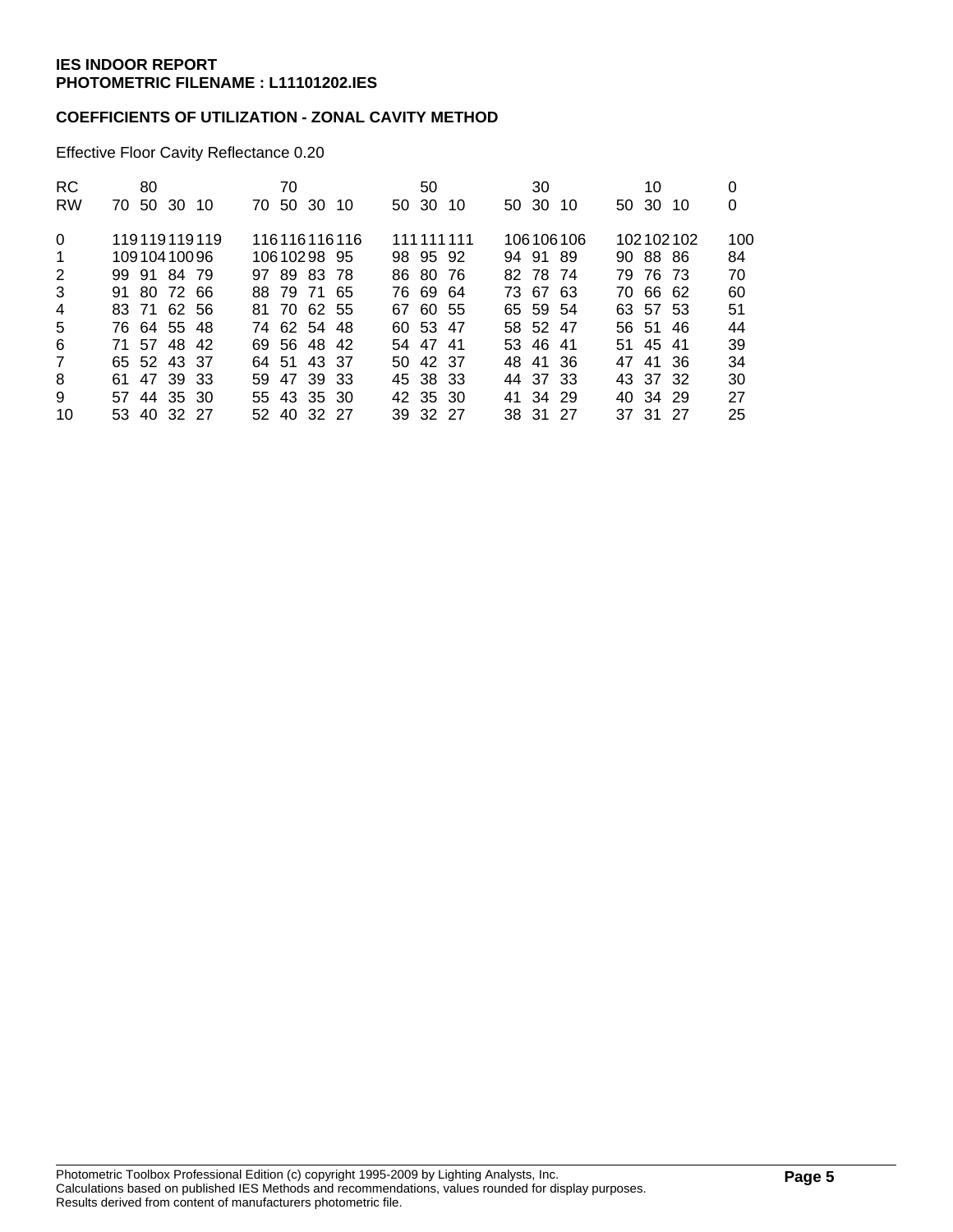### **COEFFICIENTS OF UTILIZATION - ZONAL CAVITY METHOD**

Effective Floor Cavity Reflectance 0.20

| <b>RC</b><br><b>RW</b> | 80<br>70 50 30 10 | 70<br>70 50 30 10 | 50<br>50 30 10 | 30<br>50 30 10 | 10<br>50 30 10 | 0<br>0 |
|------------------------|-------------------|-------------------|----------------|----------------|----------------|--------|
|                        |                   |                   |                |                |                |        |
| $\Omega$               | 119119119119      | 116116116116      | 111 111 111    | 106106106      | 102102102      | 100    |
| $\mathbf 1$            | 10910410096       | 10610298 95       | 98 95 92       | 94 91 89       | 90 88 86       | 84     |
| 2                      | 99 91 84 79       | 97 89 83 78       | 86 80 76       | 82 78 74       | 79 76 73       | 70     |
| 3                      | 91 80 72 66       | 88 79 71 65       | 76 69 64       | 73 67 63       | 70 66 62       | 60     |
| $\overline{4}$         | 83 71 62 56       | 81 70 62 55       | 67 60 55       | 65 59 54       | 63 57 53       | 51     |
| 5                      | 76 64 55 48       | 74 62 54 48       | 60 53 47       | 58 52 47       | 56 51 46       | 44     |
| 6                      | 71 57 48 42       | 69 56 48 42       | 54 47 41       | 53 46 41       | 51 45 41       | 39     |
| $\overline{7}$         | 65 52 43 37       | 64 51 43 37       | 50 42 37       | 48 41 36       | 47 41 36       | 34     |
| 8                      | 61 47 39 33       | 59 47 39 33       | 45 38 33       | 44 37 33       | 43 37 32       | 30     |
| 9                      | 57 44 35 30       | 55 43 35 30       | 42 35 30       | 41 34 29       | 40 34 29       | 27     |
| 10                     | 53 40 32 27       | 52 40 32 27       | 39 32 27       | 38 31 27       | 37 31 27       | 25     |